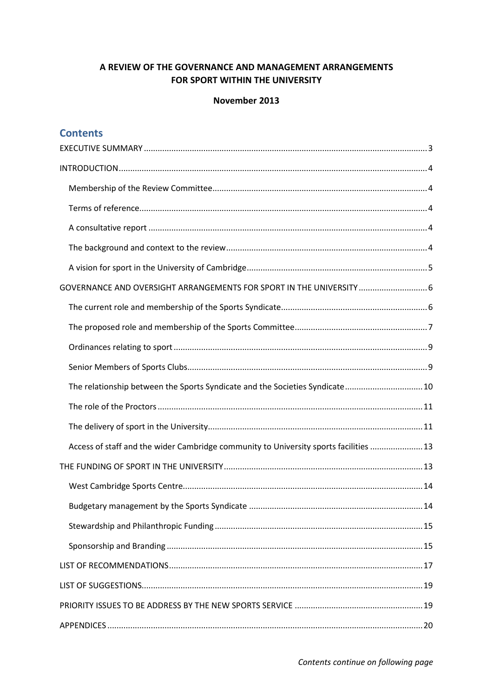#### A REVIEW OF THE GOVERNANCE AND MANAGEMENT ARRANGEMENTS FOR SPORT WITHIN THE UNIVERSITY

#### November 2013

### **Contents**

| GOVERNANCE AND OVERSIGHT ARRANGEMENTS FOR SPORT IN THE UNIVERSITY  6                  |  |  |
|---------------------------------------------------------------------------------------|--|--|
|                                                                                       |  |  |
|                                                                                       |  |  |
|                                                                                       |  |  |
|                                                                                       |  |  |
| The relationship between the Sports Syndicate and the Societies Syndicate 10          |  |  |
|                                                                                       |  |  |
|                                                                                       |  |  |
| Access of staff and the wider Cambridge community to University sports facilities  13 |  |  |
|                                                                                       |  |  |
|                                                                                       |  |  |
|                                                                                       |  |  |
|                                                                                       |  |  |
|                                                                                       |  |  |
|                                                                                       |  |  |
|                                                                                       |  |  |
|                                                                                       |  |  |
|                                                                                       |  |  |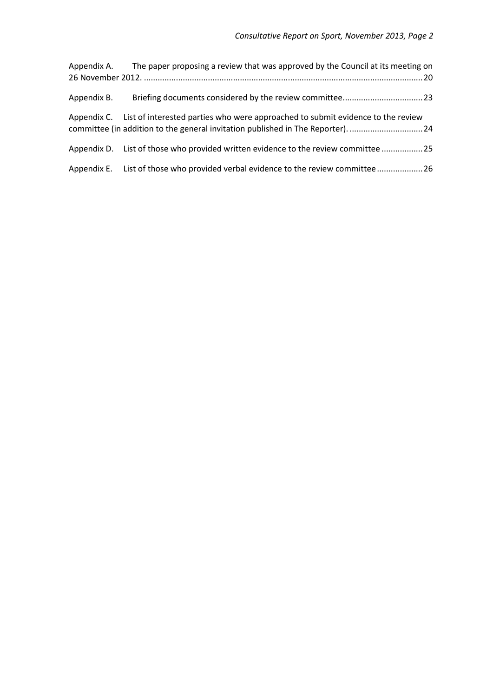|             | Appendix A. The paper proposing a review that was approved by the Council at its meeting on                                                                                    |
|-------------|--------------------------------------------------------------------------------------------------------------------------------------------------------------------------------|
| Appendix B. |                                                                                                                                                                                |
|             | Appendix C. List of interested parties who were approached to submit evidence to the review<br>committee (in addition to the general invitation published in The Reporter). 24 |
|             | Appendix D. List of those who provided written evidence to the review committee 25                                                                                             |
|             | Appendix E. List of those who provided verbal evidence to the review committee26                                                                                               |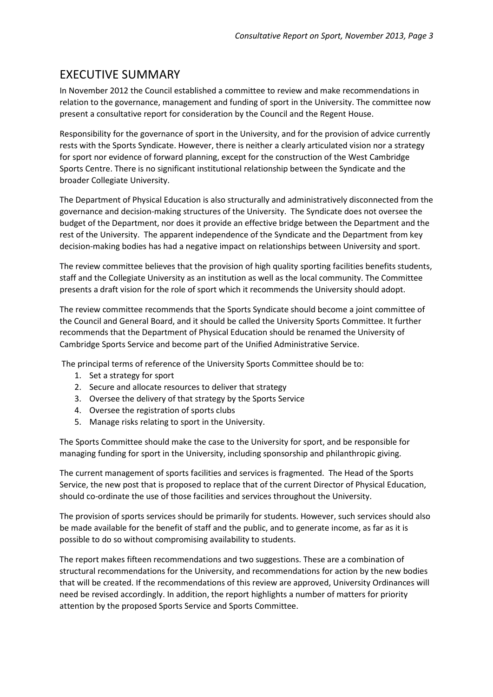# <span id="page-2-0"></span>EXECUTIVE SUMMARY

In November 2012 the Council established a committee to review and make recommendations in relation to the governance, management and funding of sport in the University. The committee now present a consultative report for consideration by the Council and the Regent House.

Responsibility for the governance of sport in the University, and for the provision of advice currently rests with the Sports Syndicate. However, there is neither a clearly articulated vision nor a strategy for sport nor evidence of forward planning, except for the construction of the West Cambridge Sports Centre. There is no significant institutional relationship between the Syndicate and the broader Collegiate University.

The Department of Physical Education is also structurally and administratively disconnected from the governance and decision-making structures of the University. The Syndicate does not oversee the budget of the Department, nor does it provide an effective bridge between the Department and the rest of the University. The apparent independence of the Syndicate and the Department from key decision-making bodies has had a negative impact on relationships between University and sport.

The review committee believes that the provision of high quality sporting facilities benefits students, staff and the Collegiate University as an institution as well as the local community. The Committee presents a draft vision for the role of sport which it recommends the University should adopt.

The review committee recommends that the Sports Syndicate should become a joint committee of the Council and General Board, and it should be called the University Sports Committee. It further recommends that the Department of Physical Education should be renamed the University of Cambridge Sports Service and become part of the Unified Administrative Service.

The principal terms of reference of the University Sports Committee should be to:

- 1. Set a strategy for sport
- 2. Secure and allocate resources to deliver that strategy
- 3. Oversee the delivery of that strategy by the Sports Service
- 4. Oversee the registration of sports clubs
- 5. Manage risks relating to sport in the University.

The Sports Committee should make the case to the University for sport, and be responsible for managing funding for sport in the University, including sponsorship and philanthropic giving.

The current management of sports facilities and services is fragmented. The Head of the Sports Service, the new post that is proposed to replace that of the current Director of Physical Education, should co-ordinate the use of those facilities and services throughout the University.

The provision of sports services should be primarily for students. However, such services should also be made available for the benefit of staff and the public, and to generate income, as far as it is possible to do so without compromising availability to students.

The report makes fifteen recommendations and two suggestions. These are a combination of structural recommendations for the University, and recommendations for action by the new bodies that will be created. If the recommendations of this review are approved, University Ordinances will need be revised accordingly. In addition, the report highlights a number of matters for priority attention by the proposed Sports Service and Sports Committee.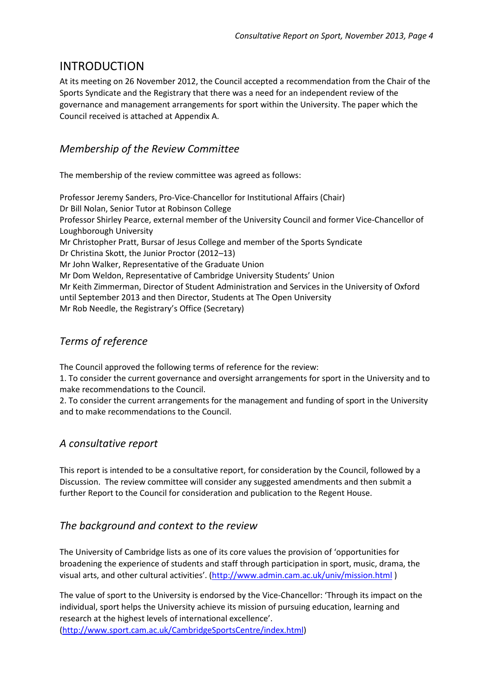## <span id="page-3-0"></span>INTRODUCTION

At its meeting on 26 November 2012, the Council accepted a recommendation from the Chair of the Sports Syndicate and the Registrary that there was a need for an independent review of the governance and management arrangements for sport within the University. The paper which the Council received is attached at Appendix A.

## <span id="page-3-1"></span>*Membership of the Review Committee*

The membership of the review committee was agreed as follows:

Professor Jeremy Sanders, Pro-Vice-Chancellor for Institutional Affairs (Chair) Dr Bill Nolan, Senior Tutor at Robinson College Professor Shirley Pearce, external member of the University Council and former Vice-Chancellor of Loughborough University Mr Christopher Pratt, Bursar of Jesus College and member of the Sports Syndicate Dr Christina Skott, the Junior Proctor (2012–13) Mr John Walker, Representative of the Graduate Union Mr Dom Weldon, Representative of Cambridge University Students' Union Mr Keith Zimmerman, Director of Student Administration and Services in the University of Oxford until September 2013 and then Director, Students at The Open University Mr Rob Needle, the Registrary's Office (Secretary)

## <span id="page-3-2"></span>*Terms of reference*

The Council approved the following terms of reference for the review:

1. To consider the current governance and oversight arrangements for sport in the University and to make recommendations to the Council.

2. To consider the current arrangements for the management and funding of sport in the University and to make recommendations to the Council.

#### <span id="page-3-3"></span>*A consultative report*

This report is intended to be a consultative report, for consideration by the Council, followed by a Discussion. The review committee will consider any suggested amendments and then submit a further Report to the Council for consideration and publication to the Regent House.

### <span id="page-3-4"></span>*The background and context to the review*

The University of Cambridge lists as one of its core values the provision of 'opportunities for broadening the experience of students and staff through participation in sport, music, drama, the visual arts, and other cultural activities'. [\(http://www.admin.cam.ac.uk/univ/mission.html](http://www.admin.cam.ac.uk/univ/mission.html) )

The value of sport to the University is endorsed by the Vice-Chancellor: 'Through its impact on the individual, sport helps the University achieve its mission of pursuing education, learning and research at the highest levels of international excellence'. [\(http://www.sport.cam.ac.uk/CambridgeSportsCentre/index.html\)](http://www.sport.cam.ac.uk/CambridgeSportsCentre/index.html)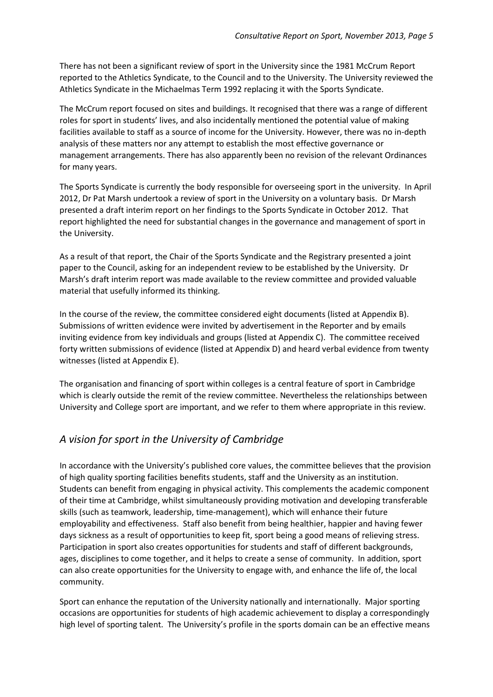There has not been a significant review of sport in the University since the 1981 McCrum Report reported to the Athletics Syndicate, to the Council and to the University. The University reviewed the Athletics Syndicate in the Michaelmas Term 1992 replacing it with the Sports Syndicate.

The McCrum report focused on sites and buildings. It recognised that there was a range of different roles for sport in students' lives, and also incidentally mentioned the potential value of making facilities available to staff as a source of income for the University. However, there was no in-depth analysis of these matters nor any attempt to establish the most effective governance or management arrangements. There has also apparently been no revision of the relevant Ordinances for many years.

The Sports Syndicate is currently the body responsible for overseeing sport in the university. In April 2012, Dr Pat Marsh undertook a review of sport in the University on a voluntary basis. Dr Marsh presented a draft interim report on her findings to the Sports Syndicate in October 2012. That report highlighted the need for substantial changes in the governance and management of sport in the University.

As a result of that report, the Chair of the Sports Syndicate and the Registrary presented a joint paper to the Council, asking for an independent review to be established by the University. Dr Marsh's draft interim report was made available to the review committee and provided valuable material that usefully informed its thinking.

In the course of the review, the committee considered eight documents (listed at Appendix B). Submissions of written evidence were invited by advertisement in the Reporter and by emails inviting evidence from key individuals and groups (listed at Appendix C). The committee received forty written submissions of evidence (listed at Appendix D) and heard verbal evidence from twenty witnesses (listed at Appendix E).

The organisation and financing of sport within colleges is a central feature of sport in Cambridge which is clearly outside the remit of the review committee. Nevertheless the relationships between University and College sport are important, and we refer to them where appropriate in this review.

## <span id="page-4-0"></span>*A vision for sport in the University of Cambridge*

In accordance with the University's published core values, the committee believes that the provision of high quality sporting facilities benefits students, staff and the University as an institution. Students can benefit from engaging in physical activity. This complements the academic component of their time at Cambridge, whilst simultaneously providing motivation and developing transferable skills (such as teamwork, leadership, time-management), which will enhance their future employability and effectiveness. Staff also benefit from being healthier, happier and having fewer days sickness as a result of opportunities to keep fit, sport being a good means of relieving stress. Participation in sport also creates opportunities for students and staff of different backgrounds, ages, disciplines to come together, and it helps to create a sense of community. In addition, sport can also create opportunities for the University to engage with, and enhance the life of, the local community.

Sport can enhance the reputation of the University nationally and internationally. Major sporting occasions are opportunities for students of high academic achievement to display a correspondingly high level of sporting talent. The University's profile in the sports domain can be an effective means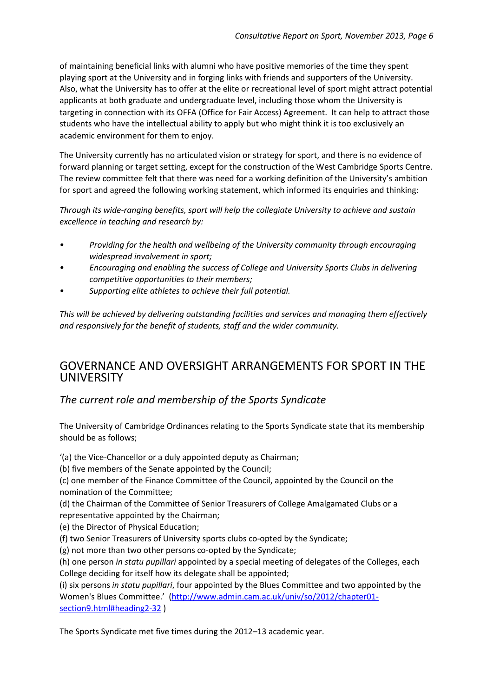of maintaining beneficial links with alumni who have positive memories of the time they spent playing sport at the University and in forging links with friends and supporters of the University. Also, what the University has to offer at the elite or recreational level of sport might attract potential applicants at both graduate and undergraduate level, including those whom the University is targeting in connection with its OFFA (Office for Fair Access) Agreement. It can help to attract those students who have the intellectual ability to apply but who might think it is too exclusively an academic environment for them to enjoy.

The University currently has no articulated vision or strategy for sport, and there is no evidence of forward planning or target setting, except for the construction of the West Cambridge Sports Centre. The review committee felt that there was need for a working definition of the University's ambition for sport and agreed the following working statement, which informed its enquiries and thinking:

*Through its wide-ranging benefits, sport will help the collegiate University to achieve and sustain excellence in teaching and research by:*

- *• Providing for the health and wellbeing of the University community through encouraging widespread involvement in sport;*
- *• Encouraging and enabling the success of College and University Sports Clubs in delivering competitive opportunities to their members;*
- *• Supporting elite athletes to achieve their full potential.*

*This will be achieved by delivering outstanding facilities and services and managing them effectively and responsively for the benefit of students, staff and the wider community.*

## <span id="page-5-0"></span>GOVERNANCE AND OVERSIGHT ARRANGEMENTS FOR SPORT IN THE UNIVERSITY

### <span id="page-5-1"></span>*The current role and membership of the Sports Syndicate*

The University of Cambridge Ordinances relating to the Sports Syndicate state that its membership should be as follows;

'(a) the Vice-Chancellor or a duly appointed deputy as Chairman;

(b) five members of the Senate appointed by the Council;

(c) one member of the Finance Committee of the Council, appointed by the Council on the nomination of the Committee;

(d) the Chairman of the Committee of Senior Treasurers of College Amalgamated Clubs or a representative appointed by the Chairman;

(e) the Director of Physical Education;

- (f) two Senior Treasurers of University sports clubs co-opted by the Syndicate;
- (g) not more than two other persons co-opted by the Syndicate;

(h) one person *in statu pupillari* appointed by a special meeting of delegates of the Colleges, each College deciding for itself how its delegate shall be appointed;

(i) six persons *in statu pupillari*, four appointed by the Blues Committee and two appointed by the Women's Blues Committee.' [\(http://www.admin.cam.ac.uk/univ/so/2012/chapter01](http://www.admin.cam.ac.uk/univ/so/2012/chapter01-section9.html#heading2-32) [section9.html#heading2-32](http://www.admin.cam.ac.uk/univ/so/2012/chapter01-section9.html#heading2-32))

The Sports Syndicate met five times during the 2012–13 academic year.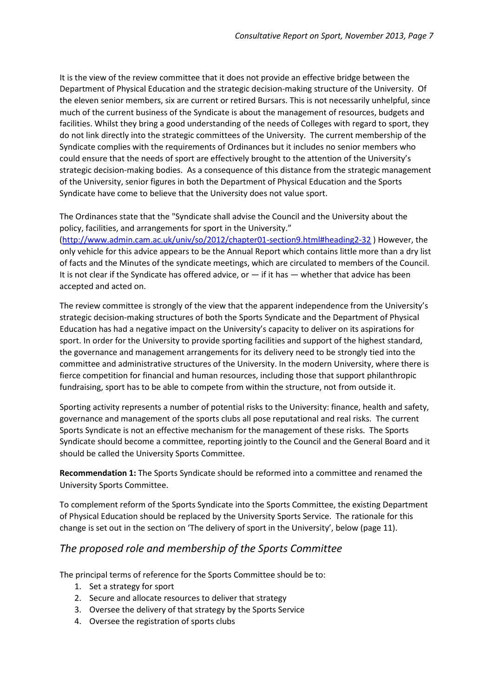It is the view of the review committee that it does not provide an effective bridge between the Department of Physical Education and the strategic decision-making structure of the University. Of the eleven senior members, six are current or retired Bursars. This is not necessarily unhelpful, since much of the current business of the Syndicate is about the management of resources, budgets and facilities. Whilst they bring a good understanding of the needs of Colleges with regard to sport, they do not link directly into the strategic committees of the University. The current membership of the Syndicate complies with the requirements of Ordinances but it includes no senior members who could ensure that the needs of sport are effectively brought to the attention of the University's strategic decision-making bodies. As a consequence of this distance from the strategic management of the University, senior figures in both the Department of Physical Education and the Sports Syndicate have come to believe that the University does not value sport.

The Ordinances state that the "Syndicate shall advise the Council and the University about the policy, facilities, and arrangements for sport in the University."

[\(http://www.admin.cam.ac.uk/univ/so/2012/chapter01-section9.html#heading2-32](http://www.admin.cam.ac.uk/univ/so/2012/chapter01-section9.html#heading2-32) ) However, the only vehicle for this advice appears to be the Annual Report which contains little more than a dry list of facts and the Minutes of the syndicate meetings, which are circulated to members of the Council. It is not clear if the Syndicate has offered advice, or  $-$  if it has  $-$  whether that advice has been accepted and acted on.

The review committee is strongly of the view that the apparent independence from the University's strategic decision-making structures of both the Sports Syndicate and the Department of Physical Education has had a negative impact on the University's capacity to deliver on its aspirations for sport. In order for the University to provide sporting facilities and support of the highest standard, the governance and management arrangements for its delivery need to be strongly tied into the committee and administrative structures of the University. In the modern University, where there is fierce competition for financial and human resources, including those that support philanthropic fundraising, sport has to be able to compete from within the structure, not from outside it.

Sporting activity represents a number of potential risks to the University: finance, health and safety, governance and management of the sports clubs all pose reputational and real risks. The current Sports Syndicate is not an effective mechanism for the management of these risks. The Sports Syndicate should become a committee, reporting jointly to the Council and the General Board and it should be called the University Sports Committee.

**Recommendation 1:** The Sports Syndicate should be reformed into a committee and renamed the University Sports Committee.

To complement reform of the Sports Syndicate into the Sports Committee, the existing Department of Physical Education should be replaced by the University Sports Service. The rationale for this change is set out in the section on 'The delivery of sport in the University', below (page 11).

#### <span id="page-6-0"></span>*The proposed role and membership of the Sports Committee*

The principal terms of reference for the Sports Committee should be to:

- 1. Set a strategy for sport
- 2. Secure and allocate resources to deliver that strategy
- 3. Oversee the delivery of that strategy by the Sports Service
- 4. Oversee the registration of sports clubs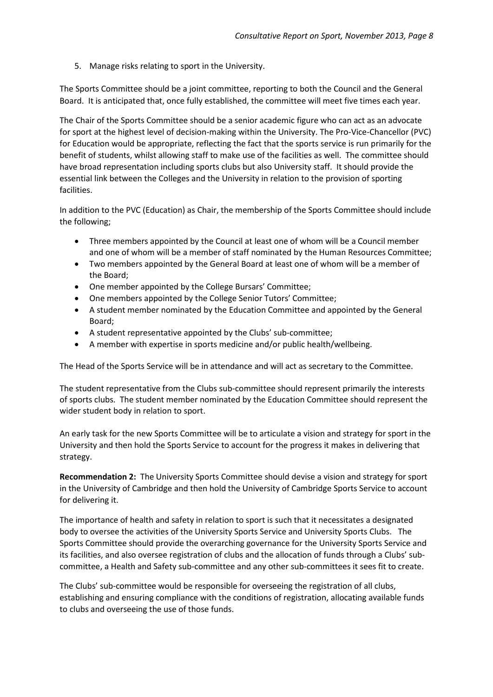5. Manage risks relating to sport in the University.

The Sports Committee should be a joint committee, reporting to both the Council and the General Board. It is anticipated that, once fully established, the committee will meet five times each year.

The Chair of the Sports Committee should be a senior academic figure who can act as an advocate for sport at the highest level of decision-making within the University. The Pro-Vice-Chancellor (PVC) for Education would be appropriate, reflecting the fact that the sports service is run primarily for the benefit of students, whilst allowing staff to make use of the facilities as well. The committee should have broad representation including sports clubs but also University staff. It should provide the essential link between the Colleges and the University in relation to the provision of sporting facilities.

In addition to the PVC (Education) as Chair, the membership of the Sports Committee should include the following;

- Three members appointed by the Council at least one of whom will be a Council member and one of whom will be a member of staff nominated by the Human Resources Committee;
- Two members appointed by the General Board at least one of whom will be a member of the Board;
- One member appointed by the College Bursars' Committee;
- One members appointed by the College Senior Tutors' Committee;
- A student member nominated by the Education Committee and appointed by the General Board;
- A student representative appointed by the Clubs' sub-committee;
- A member with expertise in sports medicine and/or public health/wellbeing.

The Head of the Sports Service will be in attendance and will act as secretary to the Committee.

The student representative from the Clubs sub-committee should represent primarily the interests of sports clubs. The student member nominated by the Education Committee should represent the wider student body in relation to sport.

An early task for the new Sports Committee will be to articulate a vision and strategy for sport in the University and then hold the Sports Service to account for the progress it makes in delivering that strategy.

**Recommendation 2:** The University Sports Committee should devise a vision and strategy for sport in the University of Cambridge and then hold the University of Cambridge Sports Service to account for delivering it.

The importance of health and safety in relation to sport is such that it necessitates a designated body to oversee the activities of the University Sports Service and University Sports Clubs. The Sports Committee should provide the overarching governance for the University Sports Service and its facilities, and also oversee registration of clubs and the allocation of funds through a Clubs' subcommittee, a Health and Safety sub-committee and any other sub-committees it sees fit to create.

The Clubs' sub-committee would be responsible for overseeing the registration of all clubs, establishing and ensuring compliance with the conditions of registration, allocating available funds to clubs and overseeing the use of those funds.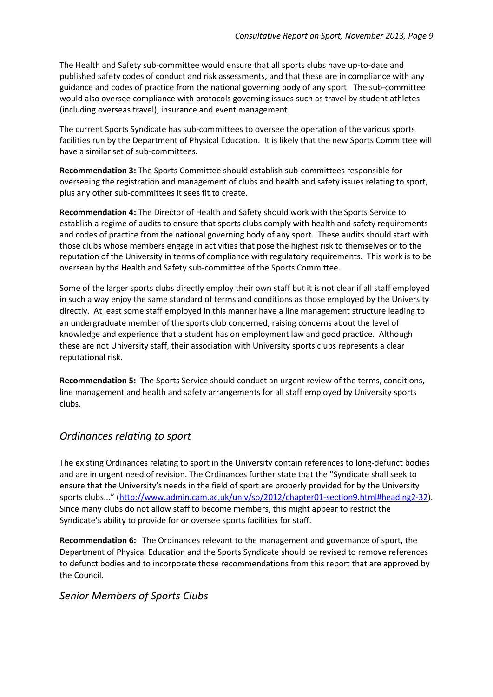The Health and Safety sub-committee would ensure that all sports clubs have up-to-date and published safety codes of conduct and risk assessments, and that these are in compliance with any guidance and codes of practice from the national governing body of any sport. The sub-committee would also oversee compliance with protocols governing issues such as travel by student athletes (including overseas travel), insurance and event management.

The current Sports Syndicate has sub-committees to oversee the operation of the various sports facilities run by the Department of Physical Education. It is likely that the new Sports Committee will have a similar set of sub-committees.

**Recommendation 3:** The Sports Committee should establish sub-committees responsible for overseeing the registration and management of clubs and health and safety issues relating to sport, plus any other sub-committees it sees fit to create.

**Recommendation 4:** The Director of Health and Safety should work with the Sports Service to establish a regime of audits to ensure that sports clubs comply with health and safety requirements and codes of practice from the national governing body of any sport. These audits should start with those clubs whose members engage in activities that pose the highest risk to themselves or to the reputation of the University in terms of compliance with regulatory requirements. This work is to be overseen by the Health and Safety sub-committee of the Sports Committee.

Some of the larger sports clubs directly employ their own staff but it is not clear if all staff employed in such a way enjoy the same standard of terms and conditions as those employed by the University directly. At least some staff employed in this manner have a line management structure leading to an undergraduate member of the sports club concerned, raising concerns about the level of knowledge and experience that a student has on employment law and good practice. Although these are not University staff, their association with University sports clubs represents a clear reputational risk.

**Recommendation 5:** The Sports Service should conduct an urgent review of the terms, conditions, line management and health and safety arrangements for all staff employed by University sports clubs.

#### <span id="page-8-0"></span>*Ordinances relating to sport*

The existing Ordinances relating to sport in the University contain references to long-defunct bodies and are in urgent need of revision. The Ordinances further state that the "Syndicate shall seek to ensure that the University's needs in the field of sport are properly provided for by the University sports clubs..." [\(http://www.admin.cam.ac.uk/univ/so/2012/chapter01-section9.html#heading2-32\)](http://www.admin.cam.ac.uk/univ/so/2012/chapter01-section9.html#heading2-32). Since many clubs do not allow staff to become members, this might appear to restrict the Syndicate's ability to provide for or oversee sports facilities for staff.

**Recommendation 6:** The Ordinances relevant to the management and governance of sport, the Department of Physical Education and the Sports Syndicate should be revised to remove references to defunct bodies and to incorporate those recommendations from this report that are approved by the Council.

#### <span id="page-8-1"></span>*Senior Members of Sports Clubs*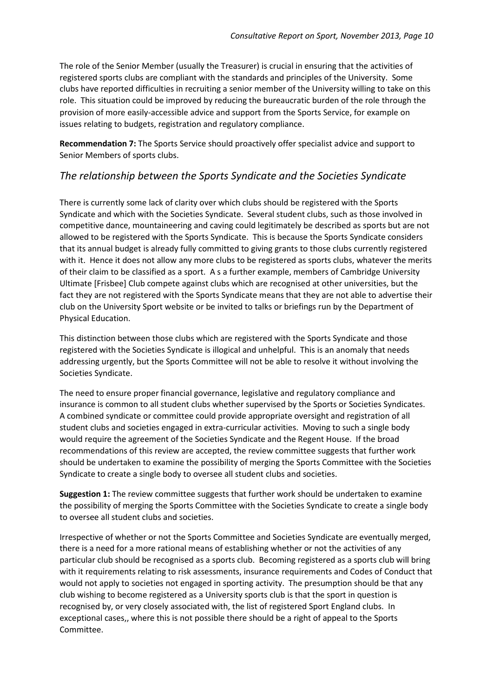The role of the Senior Member (usually the Treasurer) is crucial in ensuring that the activities of registered sports clubs are compliant with the standards and principles of the University. Some clubs have reported difficulties in recruiting a senior member of the University willing to take on this role. This situation could be improved by reducing the bureaucratic burden of the role through the provision of more easily-accessible advice and support from the Sports Service, for example on issues relating to budgets, registration and regulatory compliance.

**Recommendation 7:** The Sports Service should proactively offer specialist advice and support to Senior Members of sports clubs.

## <span id="page-9-0"></span>*The relationship between the Sports Syndicate and the Societies Syndicate*

There is currently some lack of clarity over which clubs should be registered with the Sports Syndicate and which with the Societies Syndicate. Several student clubs, such as those involved in competitive dance, mountaineering and caving could legitimately be described as sports but are not allowed to be registered with the Sports Syndicate. This is because the Sports Syndicate considers that its annual budget is already fully committed to giving grants to those clubs currently registered with it. Hence it does not allow any more clubs to be registered as sports clubs, whatever the merits of their claim to be classified as a sport. A s a further example, members of Cambridge University Ultimate [Frisbee] Club compete against clubs which are recognised at other universities, but the fact they are not registered with the Sports Syndicate means that they are not able to advertise their club on the University Sport website or be invited to talks or briefings run by the Department of Physical Education.

This distinction between those clubs which are registered with the Sports Syndicate and those registered with the Societies Syndicate is illogical and unhelpful. This is an anomaly that needs addressing urgently, but the Sports Committee will not be able to resolve it without involving the Societies Syndicate.

The need to ensure proper financial governance, legislative and regulatory compliance and insurance is common to all student clubs whether supervised by the Sports or Societies Syndicates. A combined syndicate or committee could provide appropriate oversight and registration of all student clubs and societies engaged in extra-curricular activities. Moving to such a single body would require the agreement of the Societies Syndicate and the Regent House. If the broad recommendations of this review are accepted, the review committee suggests that further work should be undertaken to examine the possibility of merging the Sports Committee with the Societies Syndicate to create a single body to oversee all student clubs and societies.

**Suggestion 1:** The review committee suggests that further work should be undertaken to examine the possibility of merging the Sports Committee with the Societies Syndicate to create a single body to oversee all student clubs and societies.

Irrespective of whether or not the Sports Committee and Societies Syndicate are eventually merged, there is a need for a more rational means of establishing whether or not the activities of any particular club should be recognised as a sports club. Becoming registered as a sports club will bring with it requirements relating to risk assessments, insurance requirements and Codes of Conduct that would not apply to societies not engaged in sporting activity. The presumption should be that any club wishing to become registered as a University sports club is that the sport in question is recognised by, or very closely associated with, the list of registered Sport England clubs. In exceptional cases,, where this is not possible there should be a right of appeal to the Sports Committee.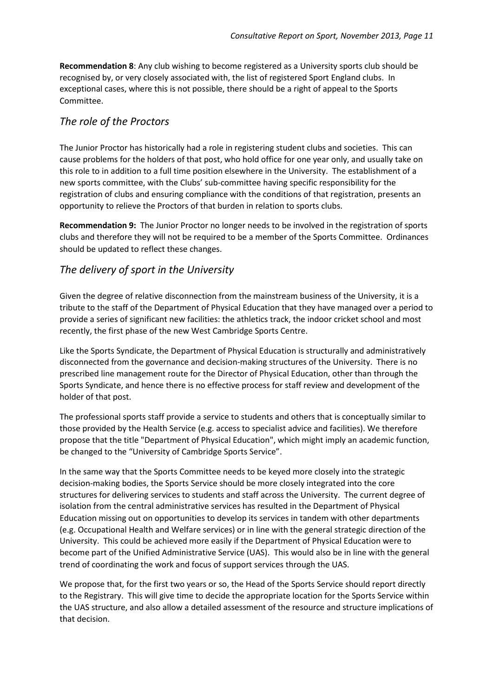**Recommendation 8**: Any club wishing to become registered as a University sports club should be recognised by, or very closely associated with, the list of registered Sport England clubs. In exceptional cases, where this is not possible, there should be a right of appeal to the Sports Committee.

#### <span id="page-10-0"></span>*The role of the Proctors*

The Junior Proctor has historically had a role in registering student clubs and societies. This can cause problems for the holders of that post, who hold office for one year only, and usually take on this role to in addition to a full time position elsewhere in the University. The establishment of a new sports committee, with the Clubs' sub-committee having specific responsibility for the registration of clubs and ensuring compliance with the conditions of that registration, presents an opportunity to relieve the Proctors of that burden in relation to sports clubs.

**Recommendation 9:** The Junior Proctor no longer needs to be involved in the registration of sports clubs and therefore they will not be required to be a member of the Sports Committee. Ordinances should be updated to reflect these changes.

#### <span id="page-10-1"></span>*The delivery of sport in the University*

Given the degree of relative disconnection from the mainstream business of the University, it is a tribute to the staff of the Department of Physical Education that they have managed over a period to provide a series of significant new facilities: the athletics track, the indoor cricket school and most recently, the first phase of the new West Cambridge Sports Centre.

Like the Sports Syndicate, the Department of Physical Education is structurally and administratively disconnected from the governance and decision-making structures of the University. There is no prescribed line management route for the Director of Physical Education, other than through the Sports Syndicate, and hence there is no effective process for staff review and development of the holder of that post.

The professional sports staff provide a service to students and others that is conceptually similar to those provided by the Health Service (e.g. access to specialist advice and facilities). We therefore propose that the title "Department of Physical Education", which might imply an academic function, be changed to the "University of Cambridge Sports Service".

In the same way that the Sports Committee needs to be keyed more closely into the strategic decision-making bodies, the Sports Service should be more closely integrated into the core structures for delivering services to students and staff across the University. The current degree of isolation from the central administrative services has resulted in the Department of Physical Education missing out on opportunities to develop its services in tandem with other departments (e.g. Occupational Health and Welfare services) or in line with the general strategic direction of the University. This could be achieved more easily if the Department of Physical Education were to become part of the Unified Administrative Service (UAS). This would also be in line with the general trend of coordinating the work and focus of support services through the UAS.

We propose that, for the first two years or so, the Head of the Sports Service should report directly to the Registrary. This will give time to decide the appropriate location for the Sports Service within the UAS structure, and also allow a detailed assessment of the resource and structure implications of that decision.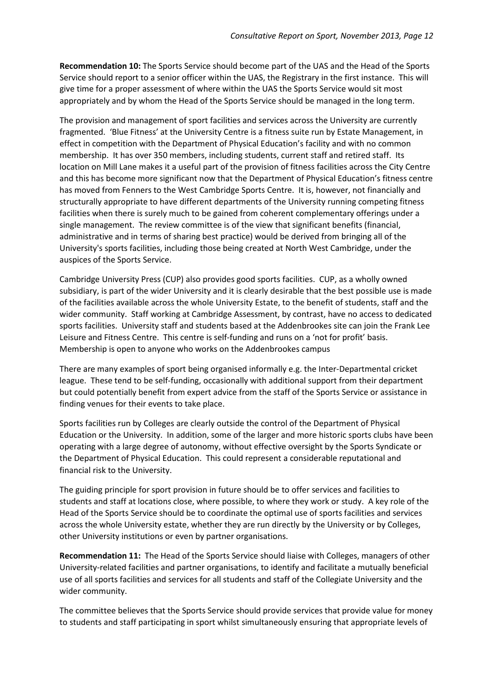**Recommendation 10:** The Sports Service should become part of the UAS and the Head of the Sports Service should report to a senior officer within the UAS, the Registrary in the first instance. This will give time for a proper assessment of where within the UAS the Sports Service would sit most appropriately and by whom the Head of the Sports Service should be managed in the long term.

The provision and management of sport facilities and services across the University are currently fragmented. 'Blue Fitness' at the University Centre is a fitness suite run by Estate Management, in effect in competition with the Department of Physical Education's facility and with no common membership. It has over 350 members, including students, current staff and retired staff. Its location on Mill Lane makes it a useful part of the provision of fitness facilities across the City Centre and this has become more significant now that the Department of Physical Education's fitness centre has moved from Fenners to the West Cambridge Sports Centre. It is, however, not financially and structurally appropriate to have different departments of the University running competing fitness facilities when there is surely much to be gained from coherent complementary offerings under a single management. The review committee is of the view that significant benefits (financial, administrative and in terms of sharing best practice) would be derived from bringing all of the University's sports facilities, including those being created at North West Cambridge, under the auspices of the Sports Service.

Cambridge University Press (CUP) also provides good sports facilities. CUP, as a wholly owned subsidiary, is part of the wider University and it is clearly desirable that the best possible use is made of the facilities available across the whole University Estate, to the benefit of students, staff and the wider community. Staff working at Cambridge Assessment, by contrast, have no access to dedicated sports facilities. University staff and students based at the Addenbrookes site can join the Frank Lee Leisure and Fitness Centre. This centre is self-funding and runs on a 'not for profit' basis. Membership is open to anyone who works on the Addenbrookes campus

There are many examples of sport being organised informally e.g. the Inter-Departmental cricket league. These tend to be self-funding, occasionally with additional support from their department but could potentially benefit from expert advice from the staff of the Sports Service or assistance in finding venues for their events to take place.

Sports facilities run by Colleges are clearly outside the control of the Department of Physical Education or the University. In addition, some of the larger and more historic sports clubs have been operating with a large degree of autonomy, without effective oversight by the Sports Syndicate or the Department of Physical Education. This could represent a considerable reputational and financial risk to the University.

The guiding principle for sport provision in future should be to offer services and facilities to students and staff at locations close, where possible, to where they work or study. A key role of the Head of the Sports Service should be to coordinate the optimal use of sports facilities and services across the whole University estate, whether they are run directly by the University or by Colleges, other University institutions or even by partner organisations.

**Recommendation 11:** The Head of the Sports Service should liaise with Colleges, managers of other University-related facilities and partner organisations, to identify and facilitate a mutually beneficial use of all sports facilities and services for all students and staff of the Collegiate University and the wider community.

The committee believes that the Sports Service should provide services that provide value for money to students and staff participating in sport whilst simultaneously ensuring that appropriate levels of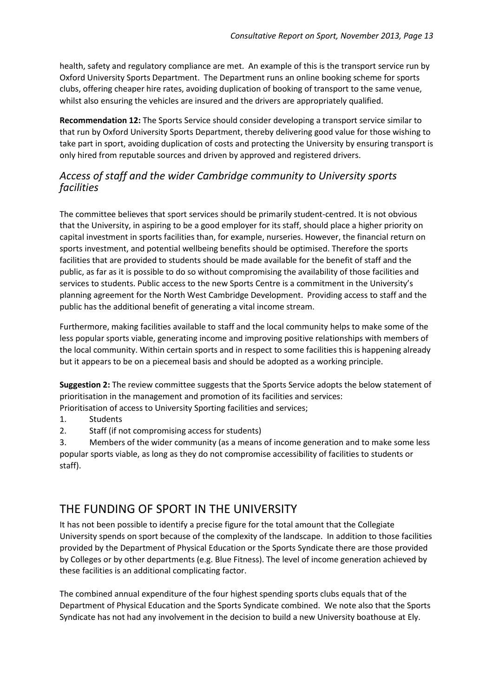health, safety and regulatory compliance are met. An example of this is the transport service run by Oxford University Sports Department. The Department runs an online booking scheme for sports clubs, offering cheaper hire rates, avoiding duplication of booking of transport to the same venue, whilst also ensuring the vehicles are insured and the drivers are appropriately qualified.

**Recommendation 12:** The Sports Service should consider developing a transport service similar to that run by Oxford University Sports Department, thereby delivering good value for those wishing to take part in sport, avoiding duplication of costs and protecting the University by ensuring transport is only hired from reputable sources and driven by approved and registered drivers.

## <span id="page-12-0"></span>*Access of staff and the wider Cambridge community to University sports facilities*

The committee believes that sport services should be primarily student-centred. It is not obvious that the University, in aspiring to be a good employer for its staff, should place a higher priority on capital investment in sports facilities than, for example, nurseries. However, the financial return on sports investment, and potential wellbeing benefits should be optimised. Therefore the sports facilities that are provided to students should be made available for the benefit of staff and the public, as far as it is possible to do so without compromising the availability of those facilities and services to students. Public access to the new Sports Centre is a commitment in the University's planning agreement for the North West Cambridge Development. Providing access to staff and the public has the additional benefit of generating a vital income stream.

Furthermore, making facilities available to staff and the local community helps to make some of the less popular sports viable, generating income and improving positive relationships with members of the local community. Within certain sports and in respect to some facilities this is happening already but it appears to be on a piecemeal basis and should be adopted as a working principle.

**Suggestion 2:** The review committee suggests that the Sports Service adopts the below statement of prioritisation in the management and promotion of its facilities and services:

Prioritisation of access to University Sporting facilities and services;

- 1. Students
- 2. Staff (if not compromising access for students)

3. Members of the wider community (as a means of income generation and to make some less popular sports viable, as long as they do not compromise accessibility of facilities to students or staff).

# <span id="page-12-1"></span>THE FUNDING OF SPORT IN THE UNIVERSITY

It has not been possible to identify a precise figure for the total amount that the Collegiate University spends on sport because of the complexity of the landscape. In addition to those facilities provided by the Department of Physical Education or the Sports Syndicate there are those provided by Colleges or by other departments (e.g. Blue Fitness). The level of income generation achieved by these facilities is an additional complicating factor.

The combined annual expenditure of the four highest spending sports clubs equals that of the Department of Physical Education and the Sports Syndicate combined. We note also that the Sports Syndicate has not had any involvement in the decision to build a new University boathouse at Ely.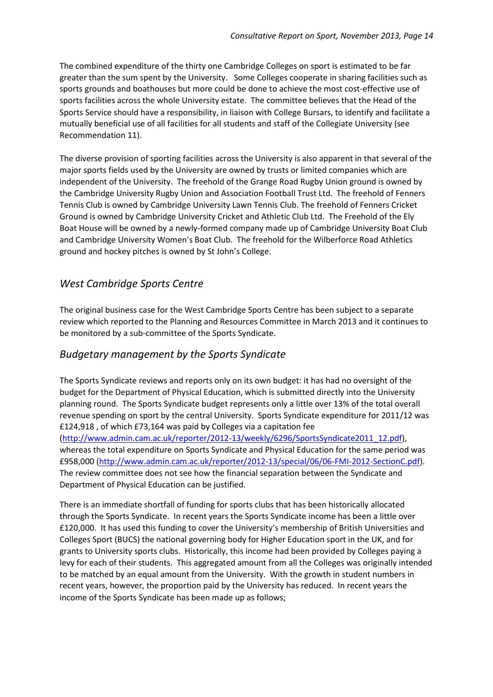The combined expenditure of the thirty one Cambridge Colleges on sport is estimated to be far greater than the sum spent by the University. Some Colleges cooperate in sharing facilities such as sports grounds and boathouses but more could be done to achieve the most cost-effective use of sports facilities across the whole University estate. The committee believes that the Head of the Sports Service should have a responsibility, in liaison with College Bursars, to identify and facilitate a mutually beneficial use of all facilities for all students and staff of the Collegiate University (see Recommendation 11).

The diverse provision of sporting facilities across the University is also apparent in that several of the major sports fields used by the University are owned by trusts or limited companies which are independent of the University. The freehold of the Grange Road Rugby Union ground is owned by the Cambridge University Rugby Union and Association Football Trust Ltd. The freehold of Fenners Tennis Club is owned by Cambridge University Lawn Tennis Club. The freehold of Fenners Cricket Ground is owned by Cambridge University Cricket and Athletic Club Ltd. The Freehold of the Ely Boat House will be owned by a newly-formed company made up of Cambridge University Boat Club and Cambridge University Women's Boat Club. The freehold for the Wilberforce Road Athletics ground and hockey pitches is owned by St John's College.

## <span id="page-13-0"></span>*West Cambridge Sports Centre*

The original business case for the West Cambridge Sports Centre has been subject to a separate review which reported to the Planning and Resources Committee in March 2013 and it continues to be monitored by a sub-committee of the Sports Syndicate.

### <span id="page-13-1"></span>*Budgetary management by the Sports Syndicate*

The Sports Syndicate reviews and reports only on its own budget: it has had no oversight of the budget for the Department of Physical Education, which is submitted directly into the University planning round. The Sports Syndicate budget represents only a little over 13% of the total overall revenue spending on sport by the central University. Sports Syndicate expenditure for 2011/12 was £124,918 , of which £73,164 was paid by Colleges via a capitation fee [\(http://www.admin.cam.ac.uk/reporter/2012-13/weekly/6296/SportsSyndicate2011\\_12.pdf\)](http://www.admin.cam.ac.uk/reporter/2012-13/weekly/6296/SportsSyndicate2011_12.pdf), whereas the total expenditure on Sports Syndicate and Physical Education for the same period was £958,000 [\(http://www.admin.cam.ac.uk/reporter/2012-13/special/06/06-FMI-2012-SectionC.pdf\)](http://www.admin.cam.ac.uk/reporter/2012-13/special/06/06-FMI-2012-SectionC.pdf). The review committee does not see how the financial separation between the Syndicate and Department of Physical Education can be justified.

There is an immediate shortfall of funding for sports clubs that has been historically allocated through the Sports Syndicate. In recent years the Sports Syndicate income has been a little over £120,000. It has used this funding to cover the University's membership of British Universities and Colleges Sport (BUCS) the national governing body for Higher Education sport in the UK, and for grants to University sports clubs. Historically, this income had been provided by Colleges paying a levy for each of their students. This aggregated amount from all the Colleges was originally intended to be matched by an equal amount from the University. With the growth in student numbers in recent years, however, the proportion paid by the University has reduced. In recent years the income of the Sports Syndicate has been made up as follows;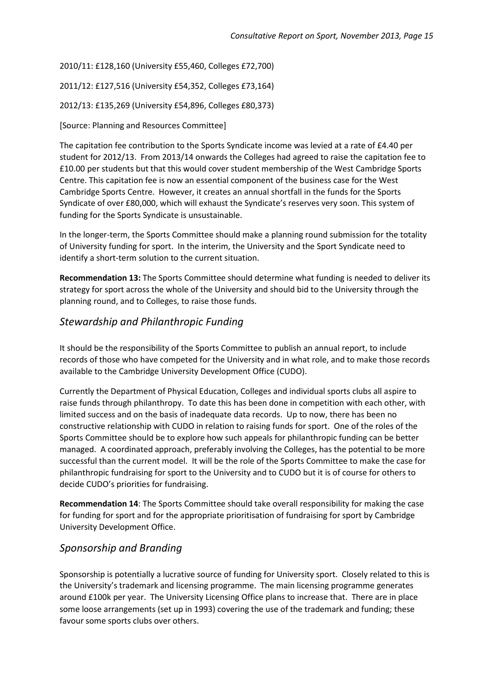2010/11: £128,160 (University £55,460, Colleges £72,700)

2011/12: £127,516 (University £54,352, Colleges £73,164)

2012/13: £135,269 (University £54,896, Colleges £80,373)

[Source: Planning and Resources Committee]

The capitation fee contribution to the Sports Syndicate income was levied at a rate of £4.40 per student for 2012/13. From 2013/14 onwards the Colleges had agreed to raise the capitation fee to £10.00 per students but that this would cover student membership of the West Cambridge Sports Centre. This capitation fee is now an essential component of the business case for the West Cambridge Sports Centre. However, it creates an annual shortfall in the funds for the Sports Syndicate of over £80,000, which will exhaust the Syndicate's reserves very soon. This system of funding for the Sports Syndicate is unsustainable.

In the longer-term, the Sports Committee should make a planning round submission for the totality of University funding for sport. In the interim, the University and the Sport Syndicate need to identify a short-term solution to the current situation.

**Recommendation 13:** The Sports Committee should determine what funding is needed to deliver its strategy for sport across the whole of the University and should bid to the University through the planning round, and to Colleges, to raise those funds.

#### <span id="page-14-0"></span>*Stewardship and Philanthropic Funding*

It should be the responsibility of the Sports Committee to publish an annual report, to include records of those who have competed for the University and in what role, and to make those records available to the Cambridge University Development Office (CUDO).

Currently the Department of Physical Education, Colleges and individual sports clubs all aspire to raise funds through philanthropy. To date this has been done in competition with each other, with limited success and on the basis of inadequate data records. Up to now, there has been no constructive relationship with CUDO in relation to raising funds for sport. One of the roles of the Sports Committee should be to explore how such appeals for philanthropic funding can be better managed. A coordinated approach, preferably involving the Colleges, has the potential to be more successful than the current model. It will be the role of the Sports Committee to make the case for philanthropic fundraising for sport to the University and to CUDO but it is of course for others to decide CUDO's priorities for fundraising.

**Recommendation 14**: The Sports Committee should take overall responsibility for making the case for funding for sport and for the appropriate prioritisation of fundraising for sport by Cambridge University Development Office.

### <span id="page-14-1"></span>*Sponsorship and Branding*

Sponsorship is potentially a lucrative source of funding for University sport. Closely related to this is the University's trademark and licensing programme. The main licensing programme generates around £100k per year. The University Licensing Office plans to increase that. There are in place some loose arrangements (set up in 1993) covering the use of the trademark and funding; these favour some sports clubs over others.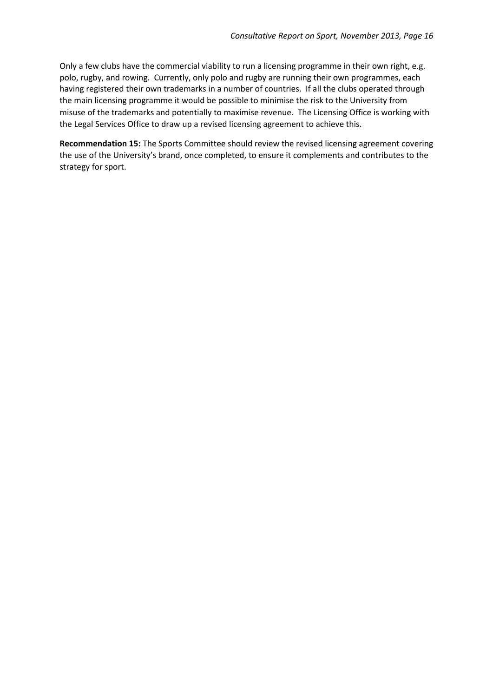Only a few clubs have the commercial viability to run a licensing programme in their own right, e.g. polo, rugby, and rowing. Currently, only polo and rugby are running their own programmes, each having registered their own trademarks in a number of countries. If all the clubs operated through the main licensing programme it would be possible to minimise the risk to the University from misuse of the trademarks and potentially to maximise revenue. The Licensing Office is working with the Legal Services Office to draw up a revised licensing agreement to achieve this.

**Recommendation 15:** The Sports Committee should review the revised licensing agreement covering the use of the University's brand, once completed, to ensure it complements and contributes to the strategy for sport.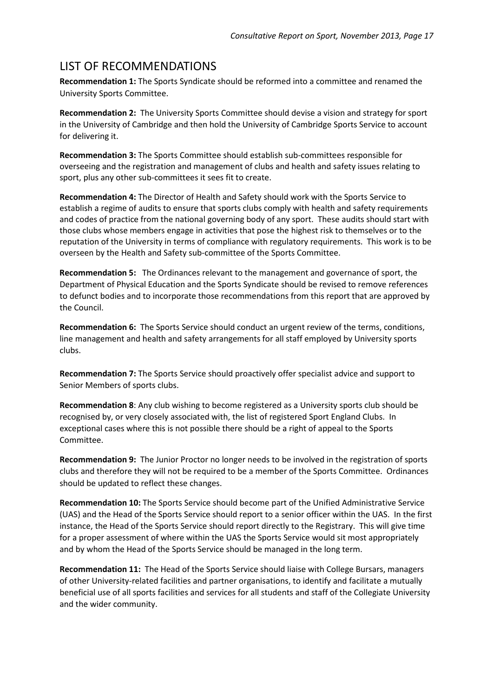# <span id="page-16-0"></span>LIST OF RECOMMENDATIONS

**Recommendation 1:** The Sports Syndicate should be reformed into a committee and renamed the University Sports Committee.

**Recommendation 2:** The University Sports Committee should devise a vision and strategy for sport in the University of Cambridge and then hold the University of Cambridge Sports Service to account for delivering it.

**Recommendation 3:** The Sports Committee should establish sub-committees responsible for overseeing and the registration and management of clubs and health and safety issues relating to sport, plus any other sub-committees it sees fit to create.

**Recommendation 4:** The Director of Health and Safety should work with the Sports Service to establish a regime of audits to ensure that sports clubs comply with health and safety requirements and codes of practice from the national governing body of any sport. These audits should start with those clubs whose members engage in activities that pose the highest risk to themselves or to the reputation of the University in terms of compliance with regulatory requirements. This work is to be overseen by the Health and Safety sub-committee of the Sports Committee.

**Recommendation 5:** The Ordinances relevant to the management and governance of sport, the Department of Physical Education and the Sports Syndicate should be revised to remove references to defunct bodies and to incorporate those recommendations from this report that are approved by the Council.

**Recommendation 6:** The Sports Service should conduct an urgent review of the terms, conditions, line management and health and safety arrangements for all staff employed by University sports clubs.

**Recommendation 7:** The Sports Service should proactively offer specialist advice and support to Senior Members of sports clubs.

**Recommendation 8**: Any club wishing to become registered as a University sports club should be recognised by, or very closely associated with, the list of registered Sport England Clubs. In exceptional cases where this is not possible there should be a right of appeal to the Sports Committee.

**Recommendation 9:** The Junior Proctor no longer needs to be involved in the registration of sports clubs and therefore they will not be required to be a member of the Sports Committee. Ordinances should be updated to reflect these changes.

**Recommendation 10:** The Sports Service should become part of the Unified Administrative Service (UAS) and the Head of the Sports Service should report to a senior officer within the UAS. In the first instance, the Head of the Sports Service should report directly to the Registrary. This will give time for a proper assessment of where within the UAS the Sports Service would sit most appropriately and by whom the Head of the Sports Service should be managed in the long term.

**Recommendation 11:** The Head of the Sports Service should liaise with College Bursars, managers of other University-related facilities and partner organisations, to identify and facilitate a mutually beneficial use of all sports facilities and services for all students and staff of the Collegiate University and the wider community.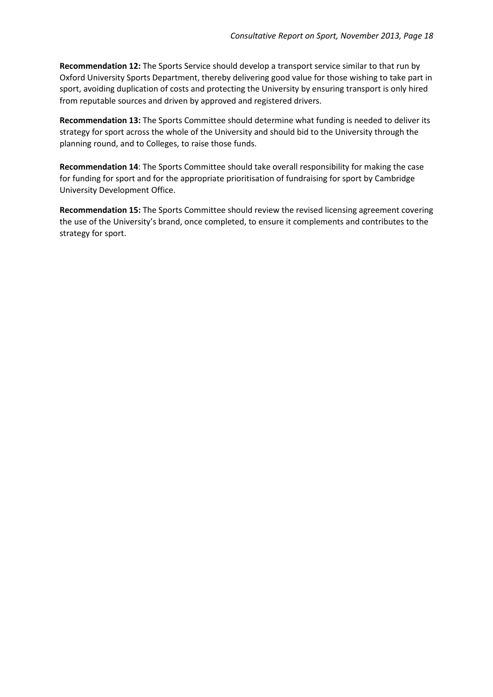**Recommendation 12:** The Sports Service should develop a transport service similar to that run by Oxford University Sports Department, thereby delivering good value for those wishing to take part in sport, avoiding duplication of costs and protecting the University by ensuring transport is only hired from reputable sources and driven by approved and registered drivers.

**Recommendation 13:** The Sports Committee should determine what funding is needed to deliver its strategy for sport across the whole of the University and should bid to the University through the planning round, and to Colleges, to raise those funds.

**Recommendation 14**: The Sports Committee should take overall responsibility for making the case for funding for sport and for the appropriate prioritisation of fundraising for sport by Cambridge University Development Office.

**Recommendation 15:** The Sports Committee should review the revised licensing agreement covering the use of the University's brand, once completed, to ensure it complements and contributes to the strategy for sport.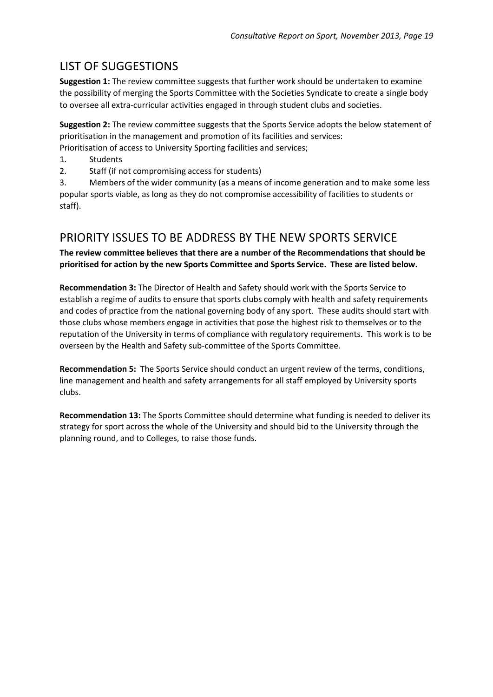# <span id="page-18-0"></span>LIST OF SUGGESTIONS

**Suggestion 1:** The review committee suggests that further work should be undertaken to examine the possibility of merging the Sports Committee with the Societies Syndicate to create a single body to oversee all extra-curricular activities engaged in through student clubs and societies.

**Suggestion 2:** The review committee suggests that the Sports Service adopts the below statement of prioritisation in the management and promotion of its facilities and services:

Prioritisation of access to University Sporting facilities and services;

- 1. Students
- 2. Staff (if not compromising access for students)

3. Members of the wider community (as a means of income generation and to make some less popular sports viable, as long as they do not compromise accessibility of facilities to students or staff).

# <span id="page-18-1"></span>PRIORITY ISSUES TO BE ADDRESS BY THE NEW SPORTS SERVICE

**The review committee believes that there are a number of the Recommendations that should be prioritised for action by the new Sports Committee and Sports Service. These are listed below.**

**Recommendation 3:** The Director of Health and Safety should work with the Sports Service to establish a regime of audits to ensure that sports clubs comply with health and safety requirements and codes of practice from the national governing body of any sport. These audits should start with those clubs whose members engage in activities that pose the highest risk to themselves or to the reputation of the University in terms of compliance with regulatory requirements. This work is to be overseen by the Health and Safety sub-committee of the Sports Committee.

**Recommendation 5:** The Sports Service should conduct an urgent review of the terms, conditions, line management and health and safety arrangements for all staff employed by University sports clubs.

**Recommendation 13:** The Sports Committee should determine what funding is needed to deliver its strategy for sport across the whole of the University and should bid to the University through the planning round, and to Colleges, to raise those funds.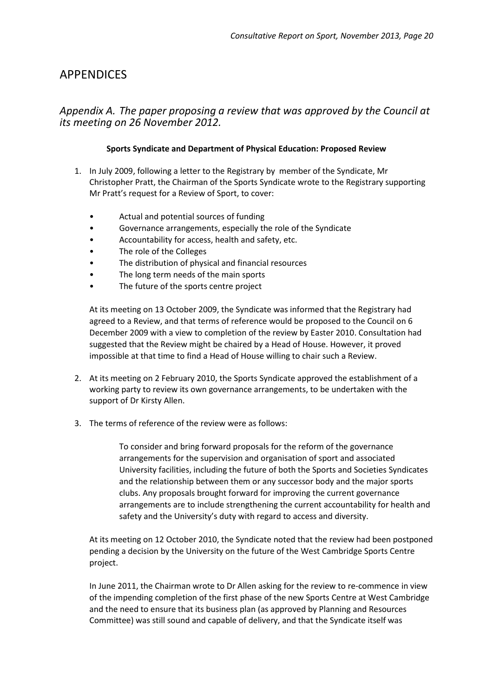## <span id="page-19-0"></span>APPENDICES

#### <span id="page-19-1"></span>*Appendix A. The paper proposing a review that was approved by the Council at its meeting on 26 November 2012.*

#### **Sports Syndicate and Department of Physical Education: Proposed Review**

- 1. In July 2009, following a letter to the Registrary by member of the Syndicate, Mr Christopher Pratt, the Chairman of the Sports Syndicate wrote to the Registrary supporting Mr Pratt's request for a Review of Sport, to cover:
	- Actual and potential sources of funding
	- Governance arrangements, especially the role of the Syndicate
	- Accountability for access, health and safety, etc.
	- The role of the Colleges
	- The distribution of physical and financial resources
	- The long term needs of the main sports
	- The future of the sports centre project

At its meeting on 13 October 2009, the Syndicate was informed that the Registrary had agreed to a Review, and that terms of reference would be proposed to the Council on 6 December 2009 with a view to completion of the review by Easter 2010. Consultation had suggested that the Review might be chaired by a Head of House. However, it proved impossible at that time to find a Head of House willing to chair such a Review.

- 2. At its meeting on 2 February 2010, the Sports Syndicate approved the establishment of a working party to review its own governance arrangements, to be undertaken with the support of Dr Kirsty Allen.
- 3. The terms of reference of the review were as follows:

To consider and bring forward proposals for the reform of the governance arrangements for the supervision and organisation of sport and associated University facilities, including the future of both the Sports and Societies Syndicates and the relationship between them or any successor body and the major sports clubs. Any proposals brought forward for improving the current governance arrangements are to include strengthening the current accountability for health and safety and the University's duty with regard to access and diversity.

At its meeting on 12 October 2010, the Syndicate noted that the review had been postponed pending a decision by the University on the future of the West Cambridge Sports Centre project.

In June 2011, the Chairman wrote to Dr Allen asking for the review to re-commence in view of the impending completion of the first phase of the new Sports Centre at West Cambridge and the need to ensure that its business plan (as approved by Planning and Resources Committee) was still sound and capable of delivery, and that the Syndicate itself was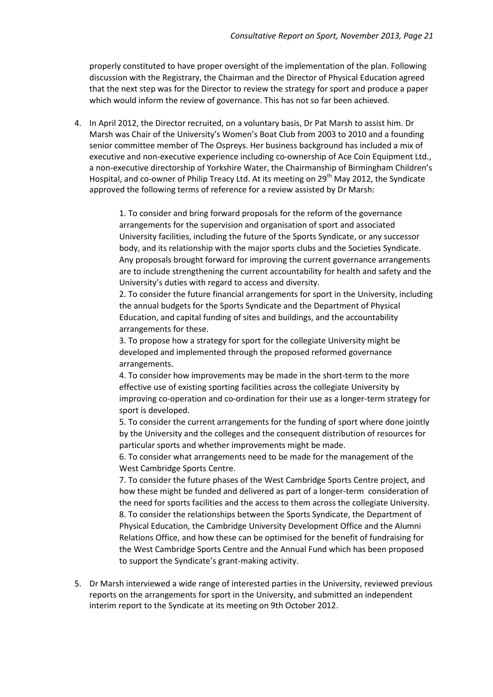properly constituted to have proper oversight of the implementation of the plan. Following discussion with the Registrary, the Chairman and the Director of Physical Education agreed that the next step was for the Director to review the strategy for sport and produce a paper which would inform the review of governance. This has not so far been achieved.

4. In April 2012, the Director recruited, on a voluntary basis, Dr Pat Marsh to assist him. Dr Marsh was Chair of the University's Women's Boat Club from 2003 to 2010 and a founding senior committee member of The Ospreys. Her business background has included a mix of executive and non-executive experience including co-ownership of Ace Coin Equipment Ltd., a non-executive directorship of Yorkshire Water, the Chairmanship of Birmingham Children's Hospital, and co-owner of Philip Treacy Ltd. At its meeting on 29<sup>th</sup> May 2012, the Syndicate approved the following terms of reference for a review assisted by Dr Marsh:

> 1. To consider and bring forward proposals for the reform of the governance arrangements for the supervision and organisation of sport and associated University facilities, including the future of the Sports Syndicate, or any successor body, and its relationship with the major sports clubs and the Societies Syndicate. Any proposals brought forward for improving the current governance arrangements are to include strengthening the current accountability for health and safety and the University's duties with regard to access and diversity.

> 2. To consider the future financial arrangements for sport in the University, including the annual budgets for the Sports Syndicate and the Department of Physical Education, and capital funding of sites and buildings, and the accountability arrangements for these.

3. To propose how a strategy for sport for the collegiate University might be developed and implemented through the proposed reformed governance arrangements.

4. To consider how improvements may be made in the short-term to the more effective use of existing sporting facilities across the collegiate University by improving co-operation and co-ordination for their use as a longer-term strategy for sport is developed.

5. To consider the current arrangements for the funding of sport where done jointly by the University and the colleges and the consequent distribution of resources for particular sports and whether improvements might be made.

6. To consider what arrangements need to be made for the management of the West Cambridge Sports Centre.

7. To consider the future phases of the West Cambridge Sports Centre project, and how these might be funded and delivered as part of a longer-term consideration of the need for sports facilities and the access to them across the collegiate University. 8. To consider the relationships between the Sports Syndicate, the Department of Physical Education, the Cambridge University Development Office and the Alumni Relations Office, and how these can be optimised for the benefit of fundraising for the West Cambridge Sports Centre and the Annual Fund which has been proposed to support the Syndicate's grant-making activity.

5. Dr Marsh interviewed a wide range of interested parties in the University, reviewed previous reports on the arrangements for sport in the University, and submitted an independent interim report to the Syndicate at its meeting on 9th October 2012.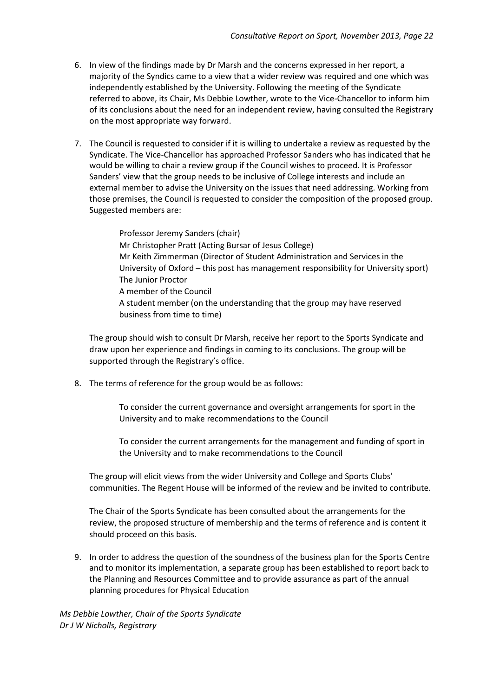- 6. In view of the findings made by Dr Marsh and the concerns expressed in her report, a majority of the Syndics came to a view that a wider review was required and one which was independently established by the University. Following the meeting of the Syndicate referred to above, its Chair, Ms Debbie Lowther, wrote to the Vice-Chancellor to inform him of its conclusions about the need for an independent review, having consulted the Registrary on the most appropriate way forward.
- 7. The Council is requested to consider if it is willing to undertake a review as requested by the Syndicate. The Vice-Chancellor has approached Professor Sanders who has indicated that he would be willing to chair a review group if the Council wishes to proceed. It is Professor Sanders' view that the group needs to be inclusive of College interests and include an external member to advise the University on the issues that need addressing. Working from those premises, the Council is requested to consider the composition of the proposed group. Suggested members are:

Professor Jeremy Sanders (chair) Mr Christopher Pratt (Acting Bursar of Jesus College) Mr Keith Zimmerman (Director of Student Administration and Services in the University of Oxford – this post has management responsibility for University sport) The Junior Proctor A member of the Council A student member (on the understanding that the group may have reserved business from time to time)

The group should wish to consult Dr Marsh, receive her report to the Sports Syndicate and draw upon her experience and findings in coming to its conclusions. The group will be supported through the Registrary's office.

8. The terms of reference for the group would be as follows:

To consider the current governance and oversight arrangements for sport in the University and to make recommendations to the Council

To consider the current arrangements for the management and funding of sport in the University and to make recommendations to the Council

The group will elicit views from the wider University and College and Sports Clubs' communities. The Regent House will be informed of the review and be invited to contribute.

The Chair of the Sports Syndicate has been consulted about the arrangements for the review, the proposed structure of membership and the terms of reference and is content it should proceed on this basis.

9. In order to address the question of the soundness of the business plan for the Sports Centre and to monitor its implementation, a separate group has been established to report back to the Planning and Resources Committee and to provide assurance as part of the annual planning procedures for Physical Education

*Ms Debbie Lowther, Chair of the Sports Syndicate Dr J W Nicholls, Registrary*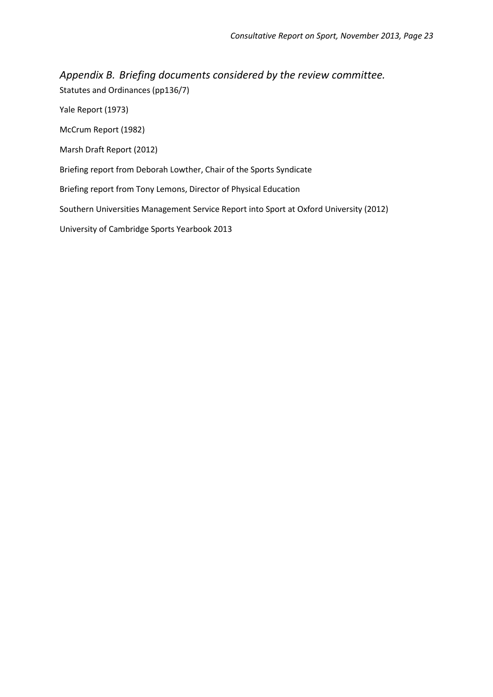# <span id="page-22-0"></span>*Appendix B. Briefing documents considered by the review committee.* Statutes and Ordinances (pp136/7)

Yale Report (1973)

McCrum Report (1982)

Marsh Draft Report (2012)

Briefing report from Deborah Lowther, Chair of the Sports Syndicate

Briefing report from Tony Lemons, Director of Physical Education

Southern Universities Management Service Report into Sport at Oxford University (2012)

University of Cambridge Sports Yearbook 2013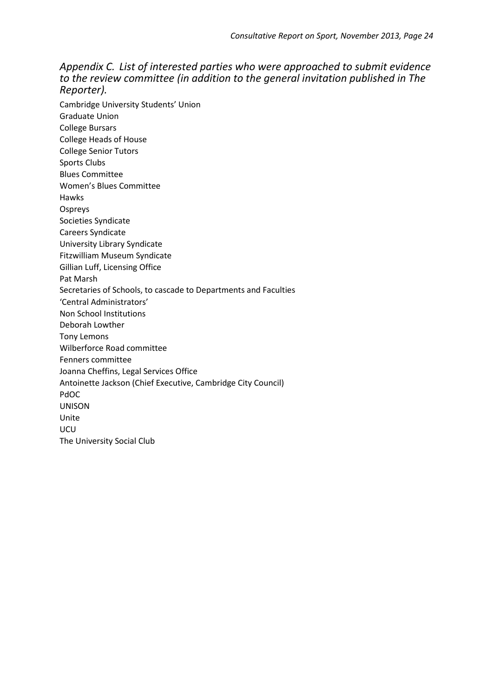#### <span id="page-23-0"></span>*Appendix C. List of interested parties who were approached to submit evidence to the review committee (in addition to the general invitation published in The Reporter).*

Cambridge University Students' Union Graduate Union College Bursars College Heads of House College Senior Tutors Sports Clubs Blues Committee Women's Blues Committee Hawks Ospreys Societies Syndicate Careers Syndicate University Library Syndicate Fitzwilliam Museum Syndicate Gillian Luff, Licensing Office Pat Marsh Secretaries of Schools, to cascade to Departments and Faculties 'Central Administrators' Non School Institutions Deborah Lowther Tony Lemons Wilberforce Road committee Fenners committee Joanna Cheffins, Legal Services Office Antoinette Jackson (Chief Executive, Cambridge City Council) PdOC UNISON Unite UCU The University Social Club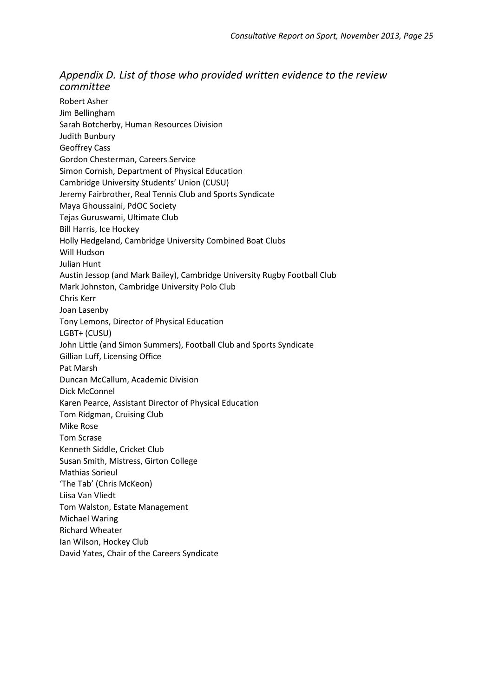<span id="page-24-0"></span>*Appendix D. List of those who provided written evidence to the review committee* 

Robert Asher Jim Bellingham Sarah Botcherby, Human Resources Division Judith Bunbury Geoffrey Cass Gordon Chesterman, Careers Service Simon Cornish, Department of Physical Education Cambridge University Students' Union (CUSU) Jeremy Fairbrother, Real Tennis Club and Sports Syndicate Maya Ghoussaini, PdOC Society Tejas Guruswami, Ultimate Club Bill Harris, Ice Hockey Holly Hedgeland, Cambridge University Combined Boat Clubs Will Hudson Julian Hunt Austin Jessop (and Mark Bailey), Cambridge University Rugby Football Club Mark Johnston, Cambridge University Polo Club Chris Kerr Joan Lasenby Tony Lemons, Director of Physical Education LGBT+ (CUSU) John Little (and Simon Summers), Football Club and Sports Syndicate Gillian Luff, Licensing Office Pat Marsh Duncan McCallum, Academic Division Dick McConnel Karen Pearce, Assistant Director of Physical Education Tom Ridgman, Cruising Club Mike Rose Tom Scrase Kenneth Siddle, Cricket Club Susan Smith, Mistress, Girton College Mathias Sorieul 'The Tab' (Chris McKeon) Liisa Van Vliedt Tom Walston, Estate Management Michael Waring Richard Wheater Ian Wilson, Hockey Club David Yates, Chair of the Careers Syndicate